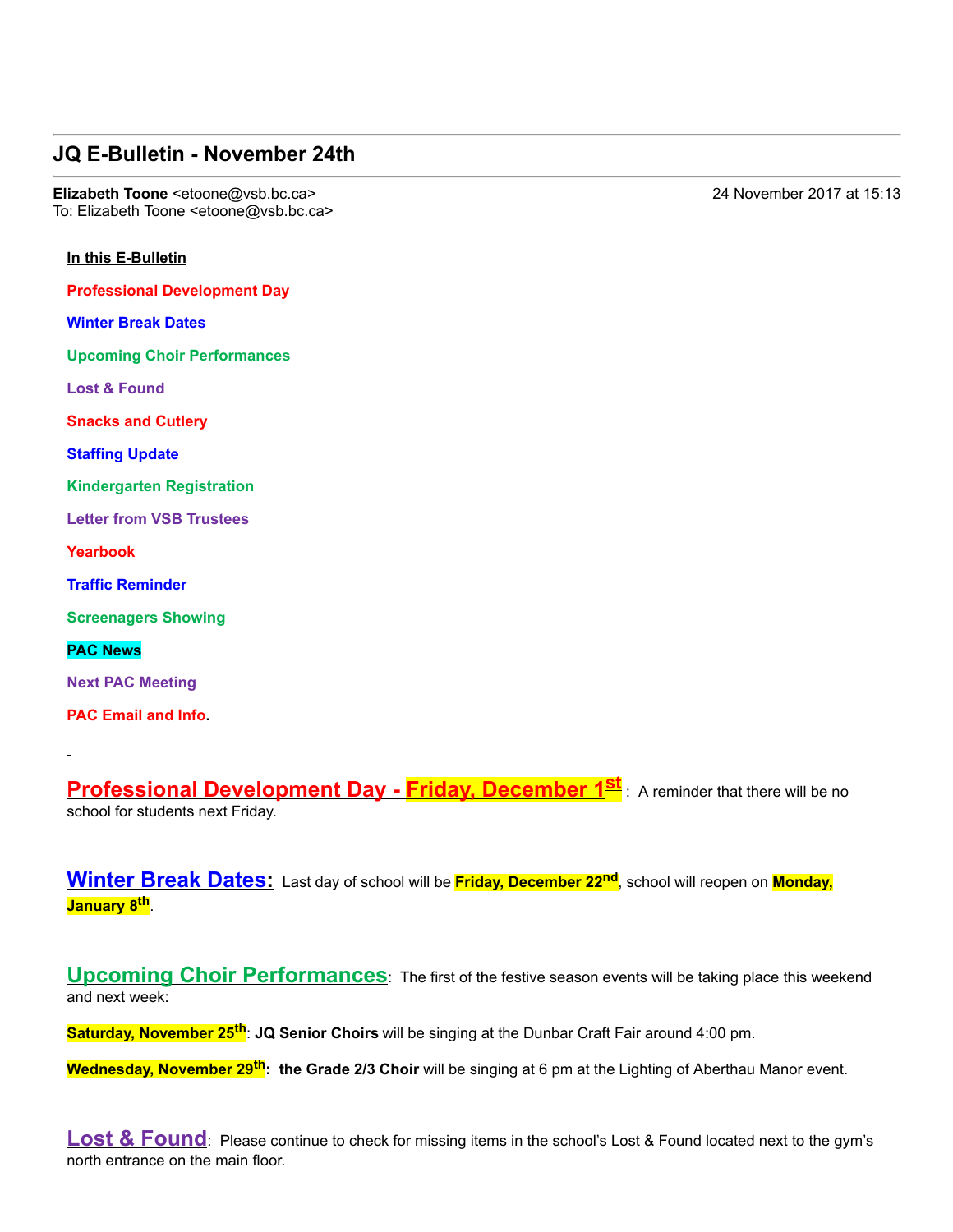## **JQ E-Bulletin - November 24th**

**Elizabeth Toone** <etoone@vsb.bc.ca> 24 November 2017 at 15:13 To: Elizabeth Toone <etoone@vsb.bc.ca>

## **In this E-Bulletin**

**Professional Development Day**

**Winter Break Dates**

**Upcoming Choir Performances**

**Lost & Found**

**Snacks and Cutlery**

**Staffing Update**

**Kindergarten Registration**

**Letter from VSB Trustees**

**Yearbook**

**Traffic Reminder**

**Screenagers Showing**

## **PAC News**

**Next PAC Meeting**

**PAC Email and Info.**

**Professional Development Day Friday, December 1st** : A reminder that there will be no school for students next Friday.

**Winter Break Dates:** Last day of school will be **Friday, December 22nd**, school will reopen on **Monday, January 8th**.

**Upcoming Choir Performances**: The first of the festive season events will be taking place this weekend and next week:

**Saturday, November 25th**: **JQ Senior Choirs** will be singing at the Dunbar Craft Fair around 4:00 pm.

**Wednesday, November 29th: the Grade 2/3 Choir** will be singing at 6 pm at the Lighting of Aberthau Manor event.

**Lost & Found**: Please continue to check for missing items in the school's Lost & Found located next to the gym's north entrance on the main floor.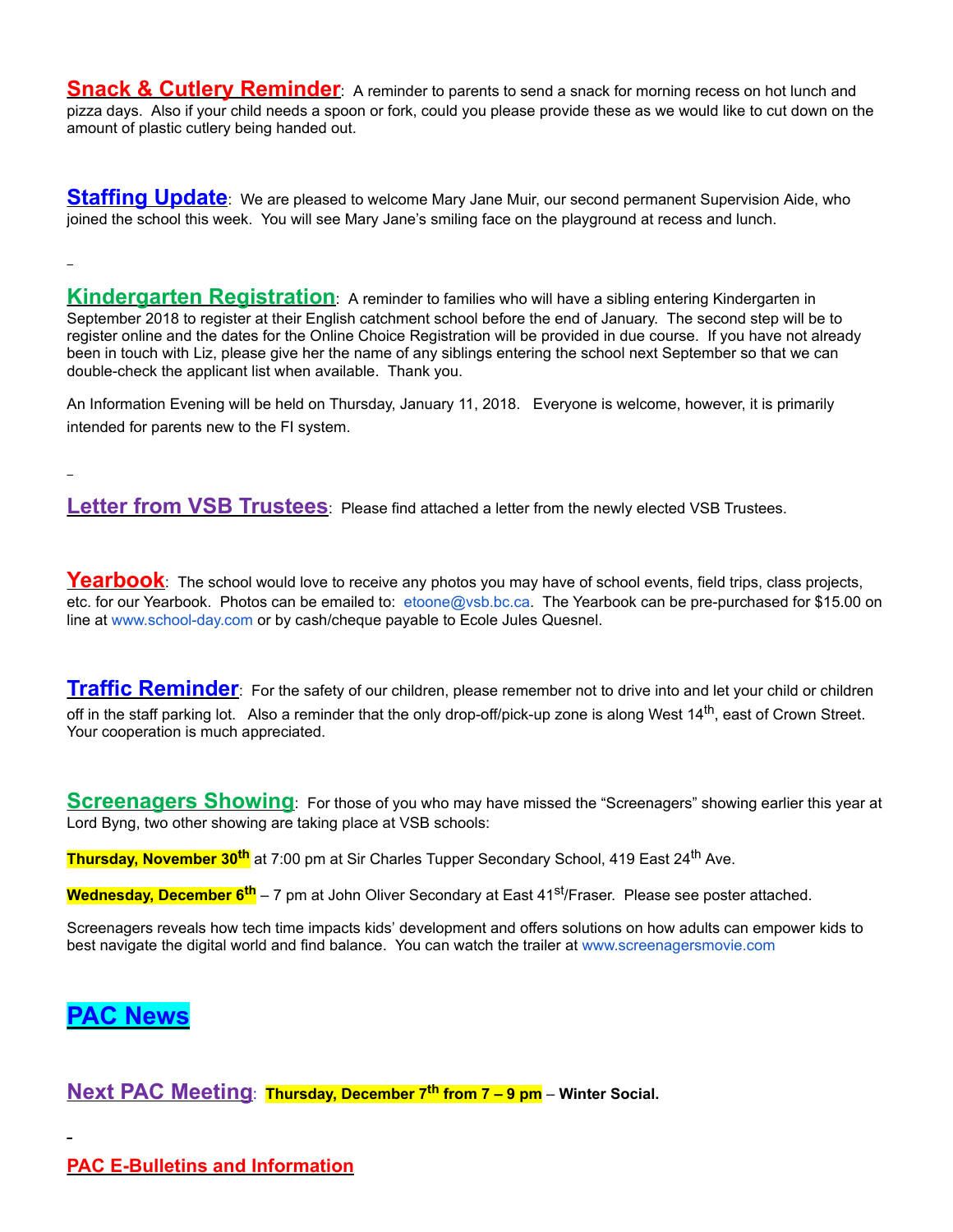**Snack & Cutlery Reminder**: A reminder to parents to send a snack for morning recess on hot lunch and pizza days. Also if your child needs a spoon or fork, could you please provide these as we would like to cut down on the amount of plastic cutlery being handed out.

**Staffing Update**: We are pleased to welcome Mary Jane Muir, our second permanent Supervision Aide, who joined the school this week. You will see Mary Jane's smiling face on the playground at recess and lunch.

**Kindergarten Registration**: A reminder to families who will have a sibling entering Kindergarten in September 2018 to register at their English catchment school before the end of January. The second step will be to register online and the dates for the Online Choice Registration will be provided in due course. If you have not already been in touch with Liz, please give her the name of any siblings entering the school next September so that we can double-check the applicant list when available. Thank you.

An Information Evening will be held on Thursday, January 11, 2018. Everyone is welcome, however, it is primarily intended for parents new to the FI system.

**Letter from VSB Trustees**: Please find attached a letter from the newly elected VSB Trustees.

Yearbook: The school would love to receive any photos you may have of school events, field trips, class projects, etc. for our Yearbook. Photos can be emailed to: etoone@vsb.bc.ca. The Yearbook can be pre-purchased for \$15.00 on line at www.school-day.com or by cash/cheque payable to Ecole Jules Quesnel.

**Traffic Reminder**: For the safety of our children, please remember not to drive into and let your child or children off in the staff parking lot. Also a reminder that the only drop-off/pick-up zone is along West  $14^{th}$ , east of Crown Street. Your cooperation is much appreciated.

**Screenagers Showing**: For those of you who may have missed the "Screenagers" showing earlier this year at Lord Byng, two other showing are taking place at VSB schools:

**Thursday, November 30<sup>th</sup>** at 7:00 pm at Sir Charles Tupper Secondary School, 419 East 24<sup>th</sup> Ave.

**Wednesday, December 6<sup>th</sup> –** 7 pm at John Oliver Secondary at East 41<sup>st</sup>/Fraser. Please see poster attached.

Screenagers reveals how tech time impacts kids' development and offers solutions on how adults can empower kids to best navigate the digital world and find balance. You can watch the trailer at www.screenagersmovie.com

## **PAC News**

**Next PAC Meeting**: **Thursday, December 7th from 7 – 9 pm** – **Winter Social.**